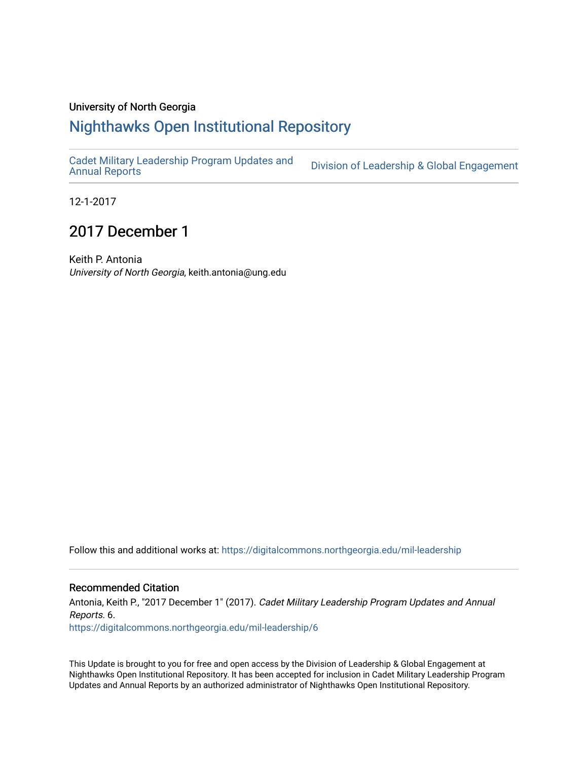## University of North Georgia

## [Nighthawks Open Institutional Repository](https://digitalcommons.northgeorgia.edu/)

[Cadet Military Leadership Program Updates and](https://digitalcommons.northgeorgia.edu/mil-leadership) 

Division of Leadership & Global Engagement

12-1-2017

## 2017 December 1

Keith P. Antonia University of North Georgia, keith.antonia@ung.edu

Follow this and additional works at: [https://digitalcommons.northgeorgia.edu/mil-leadership](https://digitalcommons.northgeorgia.edu/mil-leadership?utm_source=digitalcommons.northgeorgia.edu%2Fmil-leadership%2F6&utm_medium=PDF&utm_campaign=PDFCoverPages) 

## Recommended Citation

Antonia, Keith P., "2017 December 1" (2017). Cadet Military Leadership Program Updates and Annual Reports. 6. [https://digitalcommons.northgeorgia.edu/mil-leadership/6](https://digitalcommons.northgeorgia.edu/mil-leadership/6?utm_source=digitalcommons.northgeorgia.edu%2Fmil-leadership%2F6&utm_medium=PDF&utm_campaign=PDFCoverPages) 

This Update is brought to you for free and open access by the Division of Leadership & Global Engagement at Nighthawks Open Institutional Repository. It has been accepted for inclusion in Cadet Military Leadership Program Updates and Annual Reports by an authorized administrator of Nighthawks Open Institutional Repository.